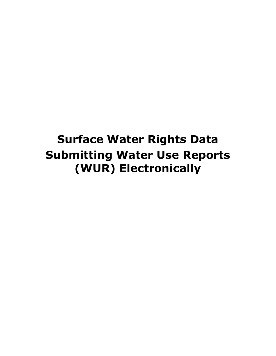# **Surface Water Rights Data Submitting Water Use Reports (WUR) Electronically**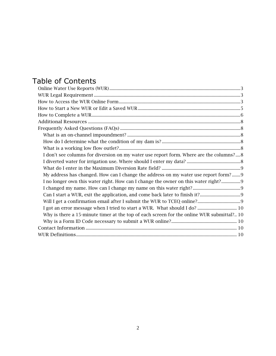### Table of Contents

| I don't see columns for diversion on my water use report form. Where are the columns?8    |
|-------------------------------------------------------------------------------------------|
|                                                                                           |
|                                                                                           |
| My address has changed. How can I change the address on my water use report form? 9       |
| I no longer own this water right. How can I change the owner on this water right? 9       |
|                                                                                           |
|                                                                                           |
|                                                                                           |
| I got an error message when I tried to start a WUR. What should I do?  10                 |
| Why is there a 15-minute timer at the top of each screen for the online WUR submittal? 10 |
|                                                                                           |
|                                                                                           |
|                                                                                           |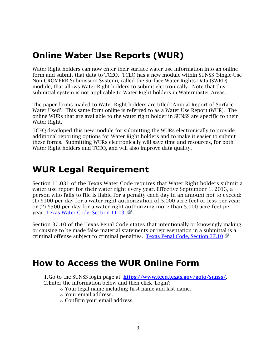### <span id="page-2-0"></span>**Online Water Use Reports (WUR)**

Water Right holders can now enter their surface water use information into an online form and submit that data to TCEQ. TCEQ has a new module within SUNSS (Single-Use Non-CROMERR Submission System), called the Surface Water Rights Data (SWRD) module, that allows Water Right holders to submit electronically. Note that this submittal system is not applicable to Water Right holders in Watermaster Areas.

The paper forms mailed to Water Right holders are titled 'Annual Report of Surface Water Used'. This same form online is referred to as a Water Use Report (WUR). The online WURs that are available to the water right holder in SUNSS are specific to their Water Right.

TCEQ developed this new module for submitting the WURs electronically to provide additional reporting options for Water Right holders and to make it easier to submit these forms. Submitting WURs electronically will save time and resources, for both Water Right holders and TCEQ, and will also improve data quality.

## <span id="page-2-1"></span>**WUR Legal Requirement**

Section 11.031 of the Texas Water Code requires that Water Right holders submit a water use report for their water right every year. Effective September 1, 2013, a person who fails to file is liable for a penalty each day in an amount not to exceed: (1) \$100 per day for a water right authorization of 5,000 acre-feet or less per year; or (2) \$500 per day for a water right authorizing more than 5,000 acre-feet per year. [Texas Water Code, Section 11.031](http://www.statutes.legis.state.tx.us/Docs/WA/htm/WA.11.htm#11.031)

Section 37.10 of the Texas Penal Code states that intentionally or knowingly making or causing to be made false material statements or representation in a submittal is a criminal offense subject to criminal penalties. [Texas Penal Code, Section](https://statutes.capitol.texas.gov/Docs/PE/htm/PE.37.htm) 37.10

### <span id="page-2-2"></span>**How to Access the WUR Online Form**

1.Go to the SUNSS login page at <https://www.tceq.texas.gov/goto/sunss/>.

- 2.Enter the information below and then click 'Login':
	- o Your legal name including first name and last name.
	- o Your email address.
	- o Confirm your email address.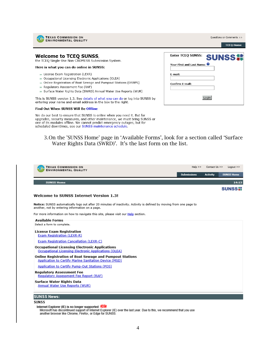

**TEXAS COMMISSION ON ENVIRONMENTAL QUALITY** 

#### **Welcome to TCEQ SUNSS,**

the TCEQ Single-Use Non-CROMERR Submission System.

#### Here is what you can do online in SUNSS:

- >> License Exam Registration (LEXR)
- >> Occupational Licensing Electronic Applications (OLEA)
- >> Online Registration of Boat Sewage and Pumpout Stations (ORBPS)
- >> Regulatory Assessment Fee (RAF)
- >> Surface Water Rights Data (SWRD) Annual Water Use Reports (WUR)

This is SUNSS version 1.3. See details of what you can do or log into SUNSS by entering your name and email address in the box to the right.

#### Find Out When SUNSS Will Be Offline

We do our best to ensure that SUNSS is online when you need it. But for upgrades, security measures, and other maintenance, we must bring SUNSS or one of its modules offline. We cannot predict emergency outages, but for scheduled downtimes, see our SUNSS maintenance schedule.

|                                        | <b>TCEO Home</b> |
|----------------------------------------|------------------|
| <b>Enter TCEQ SUNSS:</b>               | <b>SUNSS#</b>    |
| Your First and Last Name: <sup>0</sup> |                  |
| E-mail:                                |                  |
| Confirm E-mail:                        |                  |
|                                        |                  |
|                                        |                  |

Questions or Comments >>

3.On the 'SUNSS Home' page in 'Available Forms', look for a section called 'Surface Water Rights Data (SWRD)'. It's the last form on the list.

| <b>TEXAS COMMISSION ON</b><br><b>ENVIRONMENTAL QUALITY</b>                                                                                                             | $Help \gg$<br>Contact Us >><br>$Logout$ >> |                 |                   |
|------------------------------------------------------------------------------------------------------------------------------------------------------------------------|--------------------------------------------|-----------------|-------------------|
|                                                                                                                                                                        | <b>Submissions</b>                         | <b>Activity</b> | <b>SUNSS Home</b> |
| <b>SUNSS Home</b>                                                                                                                                                      |                                            |                 | 14:15             |
|                                                                                                                                                                        |                                            |                 | <b>SUNSS#</b>     |
| <b>Welcome to SUNSS Internet Version 1.3!</b>                                                                                                                          |                                            |                 |                   |
| Notice: SUNSS automatically logs out after 20 minutes of inactivity. Activity is defined by moving from one page to<br>another, not by entering information on a page. |                                            |                 |                   |
| For more information on how to navigate this site, please visit our <b>Help</b> section.                                                                               |                                            |                 |                   |
| <b>Available Forms</b><br>Select a form to complete.                                                                                                                   |                                            |                 |                   |
| <b>License Exam Registration</b><br>Exam Registration (LEXR-R)                                                                                                         |                                            |                 |                   |
| Exam Registration Cancellation (LEXR-C)                                                                                                                                |                                            |                 |                   |
| <b>Occupational Licensing Electronic Applications</b><br>Occupational Licensing Electronic Applications (OLEA)                                                         |                                            |                 |                   |
| Online Registration of Boat Sewage and Pumpout Stations<br>Application to Certify Marine Sanitation Device (MSD)                                                       |                                            |                 |                   |
| Application to Certify Pump-Out Stations (POS)                                                                                                                         |                                            |                 |                   |
| <b>Regulatory Assessment Fee</b><br>Regulatory Assessment Fee Report (RAF)                                                                                             |                                            |                 |                   |
| Surface Water Rights Data<br>Annual Water Use Reports (WUR)                                                                                                            |                                            |                 |                   |
| <b>SUNSS News:</b>                                                                                                                                                     |                                            |                 |                   |
| <b>SUNSS</b>                                                                                                                                                           |                                            |                 |                   |

Internet Explorer (IE) is no longer supported **XION**<br>Microsoft has discontinued support of Internet Explorer (IE) over the last year. Due to this, we recommend that you use<br>another browser like Chrome, Firefox, or Edge for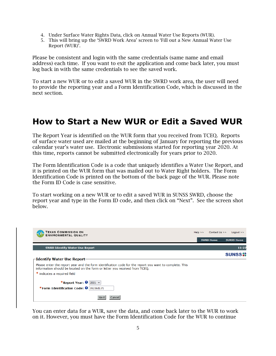- 4. Under Surface Water Rights Data, click on Annual Water Use Reports (WUR).
- 5. This will bring up the 'SWRD Work Area' screen to 'Fill out a New Annual Water Use Report (WUR)'.

Please be consistent and login with the same credentials (same name and email address) each time. If you want to exit the application and come back later, you must log back in with the same credentials to see the saved work.

To start a new WUR or to edit a saved WUR in the SWRD work area, the user will need to provide the reporting year and a Form Identification Code, which is discussed in the next section.

### <span id="page-4-0"></span>**How to Start a New WUR or Edit a Saved WUR**

The Report Year is identified on the WUR form that you received from TCEQ. Reports of surface water used are mailed at the beginning of January for reporting the previous calendar year's water use. Electronic submissions started for reporting year 2020. At this time, reports cannot be submitted electronically for years prior to 2020.

The Form Identification Code is a code that uniquely identifies a Water Use Report, and it is printed on the WUR form that was mailed out to Water Right holders. The Form Identification Code is printed on the bottom of the back page of the WUR. Please note the Form ID Code is case sensitive.

To start working on a new WUR or to edit a saved WUR in SUNSS SWRD, choose the report year and type in the Form ID code, and then click on "Next". See the screen shot below.



You can enter data for a WUR, save the data, and come back later to the WUR to work on it. However, you must have the Form Identification Code for the WUR to continue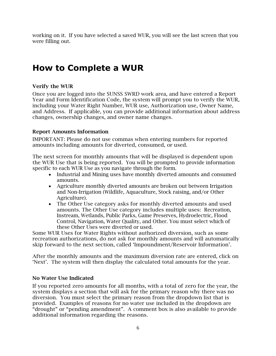working on it. If you have selected a saved WUR, you will see the last screen that you were filling out.

### <span id="page-5-0"></span>**How to Complete a WUR**

### Verify the WUR

Once you are logged into the SUNSS SWRD work area, and have entered a Report Year and Form Identification Code, the system will prompt you to verify the WUR, including your Water Right Number, WUR use, Authorization use, Owner Name, and Address. If applicable, you can provide additional information about address changes, ownership changes, and owner name changes.

#### Report Amounts Information

IMPORTANT: Please do not use commas when entering numbers for reported amounts including amounts for diverted, consumed, or used.

The next screen for monthly amounts that will be displayed is dependent upon the WUR Use that is being reported. You will be prompted to provide information specific to each WUR Use as you navigate through the form.

- Industrial and Mining uses have monthly diverted amounts and consumed amounts.
- Agriculture monthly diverted amounts are broken out between Irrigation and Non-Irrigation (Wildlife, Aquaculture, Stock raising, and/or Other Agriculture).
- The Other Use category asks for monthly diverted amounts and used amounts. The Other Use category includes multiple uses: Recreation, Instream, Wetlands, Public Parks, Game Preserves, Hydroelectric, Flood Control, Navigation, Water Quality, and Other. You must select which of these Other Uses were diverted or used.

Some WUR Uses for Water Rights without authorized diversion, such as some recreation authorizations, do not ask for monthly amounts and will automatically skip forward to the next section, called 'Impoundment/Reservoir Information'.

After the monthly amounts and the maximum diversion rate are entered, click on 'Next'. The system will then display the calculated total amounts for the year.

#### No Water Use Indicated

If you reported zero amounts for all months, with a total of zero for the year, the system displays a section that will ask for the primary reason why there was no diversion. You must select the primary reason from the dropdown list that is provided. Examples of reasons for no water use included in the dropdown are "drought" or "pending amendment". A comment box is also available to provide additional information regarding the reasons.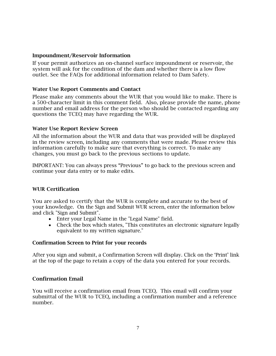#### Impoundment/Reservoir Information

If your permit authorizes an on-channel surface impoundment or reservoir, the system will ask for the condition of the dam and whether there is a low flow outlet. See the FAQs for additional information related to Dam Safety.

#### Water Use Report Comments and Contact

Please make any comments about the WUR that you would like to make. There is a 500-character limit in this comment field. Also, please provide the name, phone number and email address for the person who should be contacted regarding any questions the TCEQ may have regarding the WUR.

#### Water Use Report Review Screen

All the information about the WUR and data that was provided will be displayed in the review screen, including any comments that were made. Please review this information carefully to make sure that everything is correct. To make any changes, you must go back to the previous sections to update.

IMPORTANT: You can always press "Previous" to go back to the previous screen and continue your data entry or to make edits.

#### WUR Certification

You are asked to certify that the WUR is complete and accurate to the best of your knowledge. On the Sign and Submit WUR screen, enter the information below and click "Sign and Submit".

- Enter your Legal Name in the "Legal Name" field.
- Check the box which states, "This constitutes an electronic signature legally equivalent to my written signature."

#### Confirmation Screen to Print for your records

After you sign and submit, a Confirmation Screen will display. Click on the 'Print' link at the top of the page to retain a copy of the data you entered for your records.

#### Confirmation Email

You will receive a confirmation email from TCEQ. This email will confirm your submittal of the WUR to TCEQ, including a confirmation number and a reference number.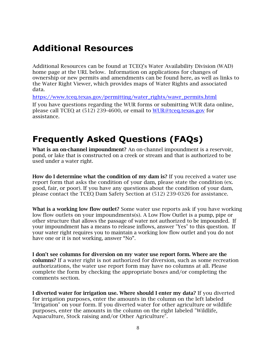### <span id="page-7-0"></span>**Additional Resources**

Additional Resources can be found at TCEQ's Water Availability Division (WAD) home page at the URL below. Information on applications for changes of ownership or new permits and amendments can be found here, as well as links to the Water Right Viewer, which provides maps of Water Rights and associated data.

[https://www.tceq.texas.gov/permitting/water\\_rights/wawr\\_permits.html](https://www.tceq.texas.gov/permitting/water_rights/wawr_permits.html)

If you have questions regarding the WUR forms or submitting WUR data online, please call TCEQ at (512) 239-4600, or email to [WUR@tceq.texas.gov](mailto:WUR@tceq.texas.gov) for assistance.

### <span id="page-7-1"></span>**Frequently Asked Questions (FAQs)**

<span id="page-7-2"></span>What is an on-channel impoundment? An on-channel impoundment is a reservoir, pond, or lake that is constructed on a creek or stream and that is authorized to be used under a water right.

<span id="page-7-3"></span>How do I determine what the condition of my dam is? If you received a water use report form that asks the condition of your dam, please state the condition (ex. good, fair, or poor). If you have any questions about the condition of your dam, please contact the TCEQ Dam Safety Section at (512) 239-0326 for assistance.

<span id="page-7-4"></span>What is a working low flow outlet? Some water use reports ask if you have working low flow outlets on your impoundments(s). A Low Flow Outlet is a pump, pipe or other structure that allows the passage of water not authorized to be impounded. If your impoundment has a means to release inflows, answer "Yes" to this question. If your water right requires you to maintain a working low flow outlet and you do not have one or it is not working, answer "No".

<span id="page-7-5"></span>I don't see columns for diversion on my water use report form. Where are the columns? If a water right is not authorized for diversion, such as some recreation authorizations, the water use report form may have no columns at all. Please complete the form by checking the appropriate boxes and/or completing the comments section.

<span id="page-7-6"></span>I diverted water for irrigation use. Where should I enter my data? If you diverted for irrigation purposes, enter the amounts in the column on the left labeled "Irrigation" on your form. If you diverted water for other agriculture or wildlife purposes, enter the amounts in the column on the right labeled "Wildlife, Aquaculture, Stock raising and/or Other Agriculture".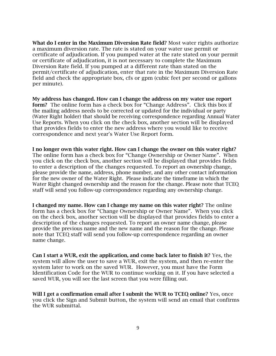<span id="page-8-0"></span>What do I enter in the Maximum Diversion Rate field? Most water rights authorize a maximum diversion rate. The rate is stated on your water use permit or certificate of adjudication. If you pumped water at the rate stated on your permit or certificate of adjudication, it is not necessary to complete the Maximum Diversion Rate field. If you pumped at a different rate than stated on the permit/certificate of adjudication, enter that rate in the Maximum Diversion Rate field and check the appropriate box, cfs or gpm (cubic feet per second or gallons per minute).

<span id="page-8-1"></span>My address has changed. How can I change the address on my water use report form? The online form has a check box for "Change Address". Click this box if the mailing address needs to be corrected or updated for the individual or party (Water Right holder) that should be receiving correspondence regarding Annual Water Use Reports. When you click on the check box, another section will be displayed that provides fields to enter the new address where you would like to receive correspondence and next year's Water Use Report form.

<span id="page-8-2"></span>I no longer own this water right. How can I change the owner on this water right? The online form has a check box for "Change Ownership or Owner Name". When you click on the check box, another section will be displayed that provides fields to enter a description of the changes requested. To report an ownership change, please provide the name, address, phone number, and any other contact information for the new owner of the Water Right. Please indicate the timeframe in which the Water Right changed ownership and the reason for the change. Please note that TCEQ staff will send you follow-up correspondence regarding any ownership change.

<span id="page-8-3"></span>I changed my name. How can I change my name on this water right? The online form has a check box for "Change Ownership or Owner Name". When you click on the check box, another section will be displayed that provides fields to enter a description of the changes requested. To report an owner name change, please provide the previous name and the new name and the reason for the change. Please note that TCEQ staff will send you follow-up correspondence regarding an owner name change.

<span id="page-8-4"></span>Can I start a WUR, exit the application, and come back later to finish it? Yes, the system will allow the user to save a WUR, exit the system, and then re-enter the system later to work on the saved WUR. However, you must have the Form Identification Code for the WUR to continue working on it. If you have selected a saved WUR, you will see the last screen that you were filling out.

<span id="page-8-5"></span>Will I get a confirmation email after I submit the WUR to TCEQ online? Yes, once you click the Sign and Submit button, the system will send an email that confirms the WUR submittal.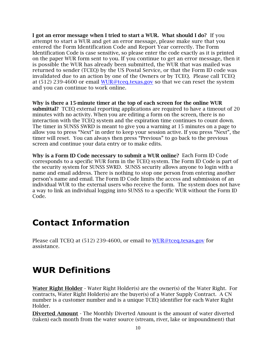<span id="page-9-0"></span>I got an error message when I tried to start a WUR. What should I do? If you attempt to start a WUR and get an error message, please make sure that you entered the Form Identification Code and Report Year correctly. The Form Identification Code is case sensitive, so please enter the code exactly as it is printed on the paper WUR form sent to you. If you continue to get an error message, then it is possible the WUR has already been submitted, the WUR that was mailed was returned to sender (TCEQ) by the US Postal Service, or that the Form ID code was invalidated due to an action by one of the Owners or by TCEQ. Please call TCEQ at  $(512)$  239-4600 or email [WUR@tceq.texas.gov](mailto:WUR@tceq.texas.gov) so that we can reset the system and you can continue to work online.

<span id="page-9-1"></span>Why is there a 15-minute timer at the top of each screen for the online WUR submittal? TCEO external reporting applications are required to have a timeout of 20 minutes with no activity. When you are editing a form on the screen, there is no interaction with the TCEQ system and the expiration time continues to count down. The timer in SUNSS SWRD is meant to give you a warning at 15 minutes on a page to allow you to press "Next" in order to keep your session active. If you press "Next", the timer will reset. You can always then press "Previous" to go back to the previous screen and continue your data entry or to make edits.

<span id="page-9-2"></span>Why is a Form ID Code necessary to submit a WUR online? Each Form ID Code corresponds to a specific WUR form in the TCEQ system. The Form ID Code is part of the security system for SUNSS SWRD. SUNSS security allows anyone to login with a name and email address. There is nothing to stop one person from entering another person's name and email. The Form ID Code limits the access and submission of an individual WUR to the external users who receive the form. The system does not have a way to link an individual logging into SUNSS to a specific WUR without the Form ID Code.

### <span id="page-9-3"></span>**Contact Information**

Please call TCEQ at (512) 239-4600, or email to [WUR@tceq.texas.gov](mailto:WUR@tceq.texas.gov) for assistance.

### <span id="page-9-4"></span>**WUR Definitions**

Water Right Holder - Water Right Holder(s) are the owner(s) of the Water Right. For contracts, Water Right Holder(s) are the buyer(s) of a Water Supply Contract. A CN number is a customer number and is a unique TCEQ identifier for each Water Right Holder.

**Diverted Amount** - The Monthly Diverted Amount is the amount of water diverted (taken) each month from the water source (stream, river, lake or impoundment) that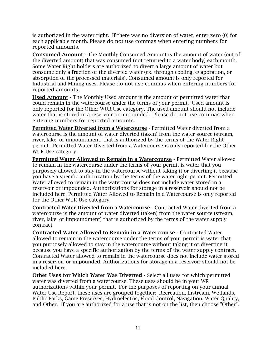is authorized in the water right. If there was no diversion of water, enter zero (0) for each applicable month. Please do not use commas when entering numbers for reported amounts.

Consumed Amount - The Monthly Consumed Amount is the amount of water (out of the diverted amount) that was consumed (not returned to a water body) each month. Some Water Right holders are authorized to divert a large amount of water but consume only a fraction of the diverted water (ex. through cooling, evaporation, or absorption of the processed materials). Consumed amount is only reported for Industrial and Mining uses. Please do not use commas when entering numbers for reported amounts.

Used Amount - The Monthly Used amount is the amount of permitted water that could remain in the watercourse under the terms of your permit. Used amount is only reported for the Other WUR Use category. The used amount should not include water that is stored in a reservoir or impounded. Please do not use commas when entering numbers for reported amounts.

Permitted Water Diverted from a Watercourse - Permitted Water diverted from a watercourse is the amount of water diverted (taken) from the water source (stream, river, lake, or impoundment) that is authorized by the terms of the Water Right permit. Permitted Water Diverted from a Watercourse is only reported for the Other WUR Use category.

Permitted Water Allowed to Remain in a Watercourse - Permitted Water allowed to remain in the watercourse under the terms of your permit is water that you purposely allowed to stay in the watercourse without taking it or diverting it because you have a specific authorization by the terms of the water right permit. Permitted Water allowed to remain in the watercourse does not include water stored in a reservoir or impounded. Authorizations for storage in a reservoir should not be included here. Permitted Water Allowed to Remain in a Watercourse is only reported for the Other WUR Use category.

Contracted Water Diverted from a Watercourse - Contracted Water diverted from a watercourse is the amount of water diverted (taken) from the water source (stream, river, lake, or impoundment) that is authorized by the terms of the water supply contract.

Contracted Water Allowed to Remain in a Watercourse - Contracted Water allowed to remain in the watercourse under the terms of your permit is water that you purposely allowed to stay in the watercourse without taking it or diverting it because you have a specific authorization by the terms of the water supply contract. Contracted Water allowed to remain in the watercourse does not include water stored in a reservoir or impounded. Authorizations for storage in a reservoir should not be included here.

Other Uses for Which Water Was Diverted - Select all uses for which permitted water was diverted from a watercourse. These uses should be in your WR authorizations within your permit. For the purposes of reporting on your annual Water Use Report, these uses are grouped together: Recreation, Instream, Wetlands, Public Parks, Game Preserves, Hydroelectric, Flood Control, Navigation, Water Quality, and Other. If you are authorized for a use that is not on the list, then choose "Other".